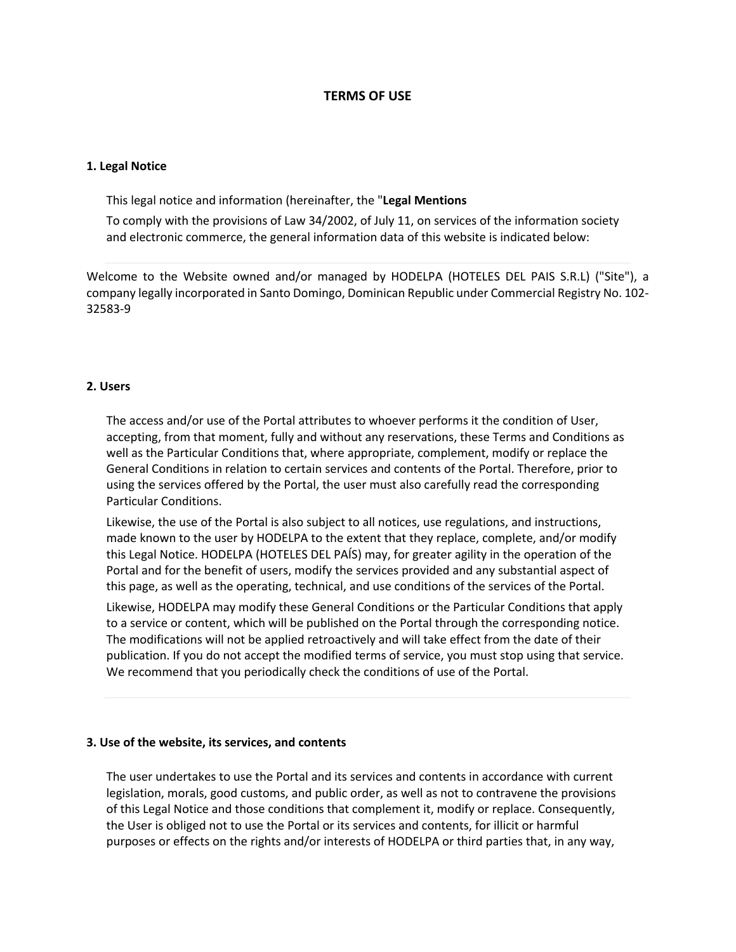# **TERMS OF USE**

### **1. Legal Notice**

This legal notice and information (hereinafter, the "**Legal Mentions**

To comply with the provisions of Law 34/2002, of July 11, on services of the information society and electronic commerce, the general information data of this website is indicated below:

Welcome to the Website owned and/or managed by HODELPA (HOTELES DEL PAIS S.R.L) ("Site"), a company legally incorporated in Santo Domingo, Dominican Republic under Commercial Registry No. 102- 32583-9

## **2. Users**

The access and/or use of the Portal attributes to whoever performs it the condition of User, accepting, from that moment, fully and without any reservations, these Terms and Conditions as well as the Particular Conditions that, where appropriate, complement, modify or replace the General Conditions in relation to certain services and contents of the Portal. Therefore, prior to using the services offered by the Portal, the user must also carefully read the corresponding Particular Conditions.

Likewise, the use of the Portal is also subject to all notices, use regulations, and instructions, made known to the user by HODELPA to the extent that they replace, complete, and/or modify this Legal Notice. HODELPA (HOTELES DEL PAÍS) may, for greater agility in the operation of the Portal and for the benefit of users, modify the services provided and any substantial aspect of this page, as well as the operating, technical, and use conditions of the services of the Portal.

Likewise, HODELPA may modify these General Conditions or the Particular Conditions that apply to a service or content, which will be published on the Portal through the corresponding notice. The modifications will not be applied retroactively and will take effect from the date of their publication. If you do not accept the modified terms of service, you must stop using that service. We recommend that you periodically check the conditions of use of the Portal.

### **3. Use of the website, its services, and contents**

The user undertakes to use the Portal and its services and contents in accordance with current legislation, morals, good customs, and public order, as well as not to contravene the provisions of this Legal Notice and those conditions that complement it, modify or replace. Consequently, the User is obliged not to use the Portal or its services and contents, for illicit or harmful purposes or effects on the rights and/or interests of HODELPA or third parties that, in any way,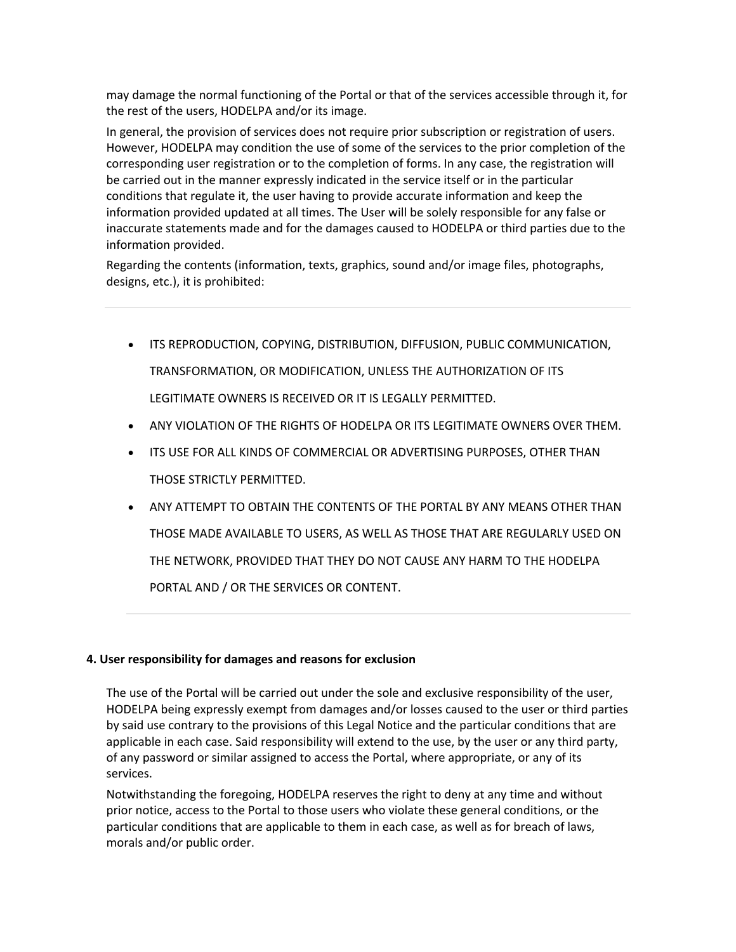may damage the normal functioning of the Portal or that of the services accessible through it, for the rest of the users, HODELPA and/or its image.

In general, the provision of services does not require prior subscription or registration of users. However, HODELPA may condition the use of some of the services to the prior completion of the corresponding user registration or to the completion of forms. In any case, the registration will be carried out in the manner expressly indicated in the service itself or in the particular conditions that regulate it, the user having to provide accurate information and keep the information provided updated at all times. The User will be solely responsible for any false or inaccurate statements made and for the damages caused to HODELPA or third parties due to the information provided.

Regarding the contents (information, texts, graphics, sound and/or image files, photographs, designs, etc.), it is prohibited:

- ITS REPRODUCTION, COPYING, DISTRIBUTION, DIFFUSION, PUBLIC COMMUNICATION, TRANSFORMATION, OR MODIFICATION, UNLESS THE AUTHORIZATION OF ITS LEGITIMATE OWNERS IS RECEIVED OR IT IS LEGALLY PERMITTED.
- ANY VIOLATION OF THE RIGHTS OF HODELPA OR ITS LEGITIMATE OWNERS OVER THEM.
- ITS USE FOR ALL KINDS OF COMMERCIAL OR ADVERTISING PURPOSES, OTHER THAN THOSE STRICTLY PERMITTED.
- ANY ATTEMPT TO OBTAIN THE CONTENTS OF THE PORTAL BY ANY MEANS OTHER THAN THOSE MADE AVAILABLE TO USERS, AS WELL AS THOSE THAT ARE REGULARLY USED ON THE NETWORK, PROVIDED THAT THEY DO NOT CAUSE ANY HARM TO THE HODELPA PORTAL AND / OR THE SERVICES OR CONTENT.

# **4. User responsibility for damages and reasons for exclusion**

The use of the Portal will be carried out under the sole and exclusive responsibility of the user, HODELPA being expressly exempt from damages and/or losses caused to the user or third parties by said use contrary to the provisions of this Legal Notice and the particular conditions that are applicable in each case. Said responsibility will extend to the use, by the user or any third party, of any password or similar assigned to access the Portal, where appropriate, or any of its services.

Notwithstanding the foregoing, HODELPA reserves the right to deny at any time and without prior notice, access to the Portal to those users who violate these general conditions, or the particular conditions that are applicable to them in each case, as well as for breach of laws, morals and/or public order.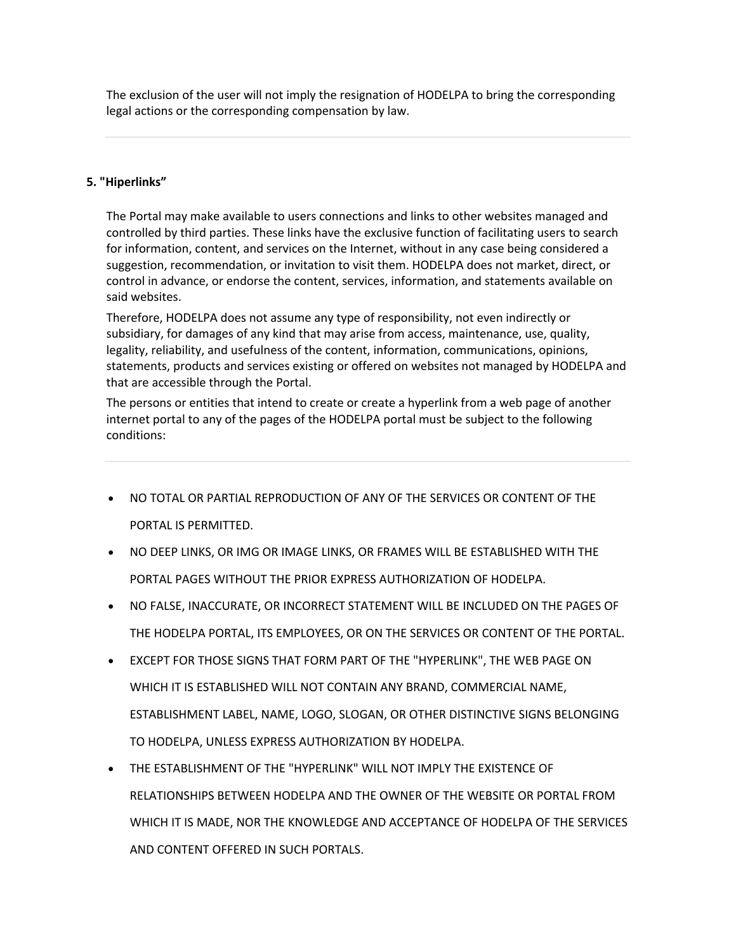The exclusion of the user will not imply the resignation of HODELPA to bring the corresponding legal actions or the corresponding compensation by law.

# **5. "Hiperlinks"**

The Portal may make available to users connections and links to other websites managed and controlled by third parties. These links have the exclusive function of facilitating users to search for information, content, and services on the Internet, without in any case being considered a suggestion, recommendation, or invitation to visit them. HODELPA does not market, direct, or control in advance, or endorse the content, services, information, and statements available on said websites.

Therefore, HODELPA does not assume any type of responsibility, not even indirectly or subsidiary, for damages of any kind that may arise from access, maintenance, use, quality, legality, reliability, and usefulness of the content, information, communications, opinions, statements, products and services existing or offered on websites not managed by HODELPA and that are accessible through the Portal.

The persons or entities that intend to create or create a hyperlink from a web page of another internet portal to any of the pages of the HODELPA portal must be subject to the following conditions:

- NO TOTAL OR PARTIAL REPRODUCTION OF ANY OF THE SERVICES OR CONTENT OF THE PORTAL IS PERMITTED.
- NO DEEP LINKS, OR IMG OR IMAGE LINKS, OR FRAMES WILL BE ESTABLISHED WITH THE PORTAL PAGES WITHOUT THE PRIOR EXPRESS AUTHORIZATION OF HODELPA.
- NO FALSE, INACCURATE, OR INCORRECT STATEMENT WILL BE INCLUDED ON THE PAGES OF THE HODELPA PORTAL, ITS EMPLOYEES, OR ON THE SERVICES OR CONTENT OF THE PORTAL.
- EXCEPT FOR THOSE SIGNS THAT FORM PART OF THE "HYPERLINK", THE WEB PAGE ON WHICH IT IS ESTABLISHED WILL NOT CONTAIN ANY BRAND, COMMERCIAL NAME, ESTABLISHMENT LABEL, NAME, LOGO, SLOGAN, OR OTHER DISTINCTIVE SIGNS BELONGING TO HODELPA, UNLESS EXPRESS AUTHORIZATION BY HODELPA.
- THE ESTABLISHMENT OF THE "HYPERLINK" WILL NOT IMPLY THE EXISTENCE OF RELATIONSHIPS BETWEEN HODELPA AND THE OWNER OF THE WEBSITE OR PORTAL FROM WHICH IT IS MADE, NOR THE KNOWLEDGE AND ACCEPTANCE OF HODELPA OF THE SERVICES AND CONTENT OFFERED IN SUCH PORTALS.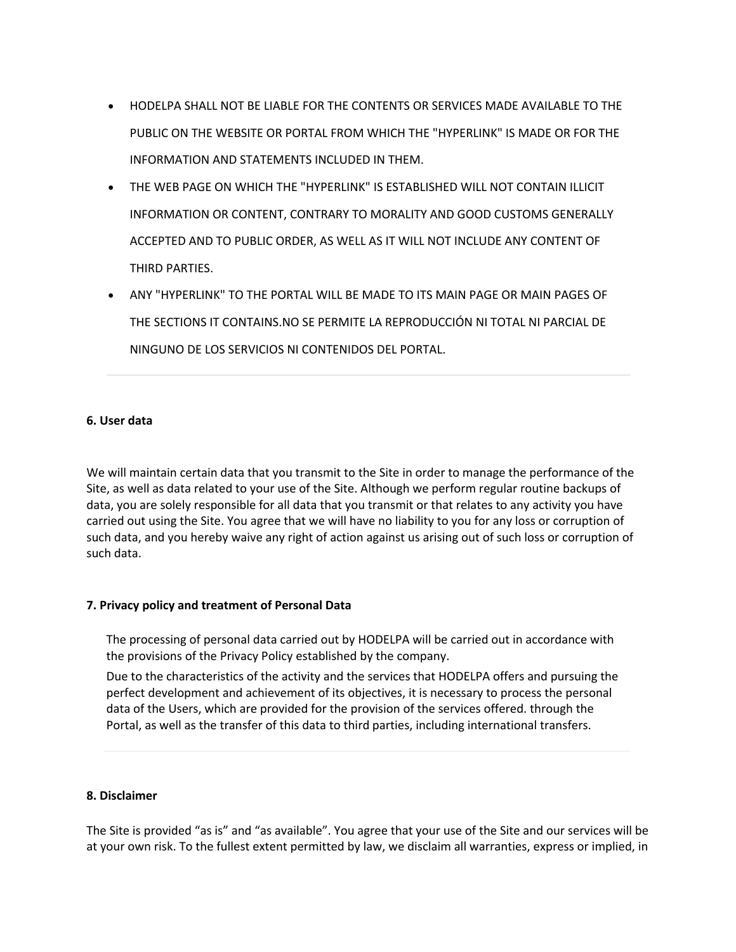- HODELPA SHALL NOT BE LIABLE FOR THE CONTENTS OR SERVICES MADE AVAILABLE TO THE PUBLIC ON THE WEBSITE OR PORTAL FROM WHICH THE "HYPERLINK" IS MADE OR FOR THE INFORMATION AND STATEMENTS INCLUDED IN THEM.
- THE WEB PAGE ON WHICH THE "HYPERLINK" IS ESTABLISHED WILL NOT CONTAIN ILLICIT INFORMATION OR CONTENT, CONTRARY TO MORALITY AND GOOD CUSTOMS GENERALLY ACCEPTED AND TO PUBLIC ORDER, AS WELL AS IT WILL NOT INCLUDE ANY CONTENT OF THIRD PARTIES.
- ANY "HYPERLINK" TO THE PORTAL WILL BE MADE TO ITS MAIN PAGE OR MAIN PAGES OF THE SECTIONS IT CONTAINS.NO SE PERMITE LA REPRODUCCIÓN NI TOTAL NI PARCIAL DE NINGUNO DE LOS SERVICIOS NI CONTENIDOS DEL PORTAL.

## **6. User data**

We will maintain certain data that you transmit to the Site in order to manage the performance of the Site, as well as data related to your use of the Site. Although we perform regular routine backups of data, you are solely responsible for all data that you transmit or that relates to any activity you have carried out using the Site. You agree that we will have no liability to you for any loss or corruption of such data, and you hereby waive any right of action against us arising out of such loss or corruption of such data.

# **7. Privacy policy and treatment of Personal Data**

The processing of personal data carried out by HODELPA will be carried out in accordance with the provisions of the Privacy Policy established by the company.

Due to the characteristics of the activity and the services that HODELPA offers and pursuing the perfect development and achievement of its objectives, it is necessary to process the personal data of the Users, which are provided for the provision of the services offered. through the Portal, as well as the transfer of this data to third parties, including international transfers.

### **8. Disclaimer**

The Site is provided "as is" and "as available". You agree that your use of the Site and our services will be at your own risk. To the fullest extent permitted by law, we disclaim all warranties, express or implied, in